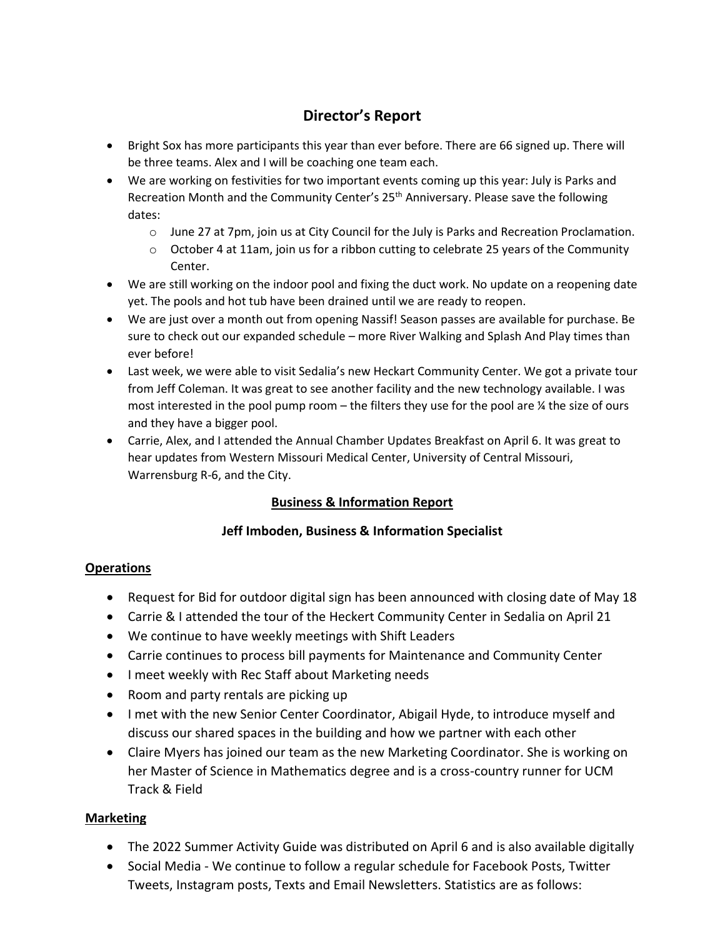# **Director's Report**

- Bright Sox has more participants this year than ever before. There are 66 signed up. There will be three teams. Alex and I will be coaching one team each.
- We are working on festivities for two important events coming up this year: July is Parks and Recreation Month and the Community Center's 25<sup>th</sup> Anniversary. Please save the following dates:
	- o June 27 at 7pm, join us at City Council for the July is Parks and Recreation Proclamation.
	- $\circ$  October 4 at 11am, join us for a ribbon cutting to celebrate 25 years of the Community Center.
- We are still working on the indoor pool and fixing the duct work. No update on a reopening date yet. The pools and hot tub have been drained until we are ready to reopen.
- We are just over a month out from opening Nassif! Season passes are available for purchase. Be sure to check out our expanded schedule – more River Walking and Splash And Play times than ever before!
- Last week, we were able to visit Sedalia's new Heckart Community Center. We got a private tour from Jeff Coleman. It was great to see another facility and the new technology available. I was most interested in the pool pump room – the filters they use for the pool are ¼ the size of ours and they have a bigger pool.
- Carrie, Alex, and I attended the Annual Chamber Updates Breakfast on April 6. It was great to hear updates from Western Missouri Medical Center, University of Central Missouri, Warrensburg R-6, and the City.

### **Business & Information Report**

### **Jeff Imboden, Business & Information Specialist**

### **Operations**

- Request for Bid for outdoor digital sign has been announced with closing date of May 18
- Carrie & I attended the tour of the Heckert Community Center in Sedalia on April 21
- We continue to have weekly meetings with Shift Leaders
- Carrie continues to process bill payments for Maintenance and Community Center
- I meet weekly with Rec Staff about Marketing needs
- Room and party rentals are picking up
- I met with the new Senior Center Coordinator, Abigail Hyde, to introduce myself and discuss our shared spaces in the building and how we partner with each other
- Claire Myers has joined our team as the new Marketing Coordinator. She is working on her Master of Science in Mathematics degree and is a cross-country runner for UCM Track & Field

### **Marketing**

- The 2022 Summer Activity Guide was distributed on April 6 and is also available digitally
- Social Media We continue to follow a regular schedule for Facebook Posts, Twitter Tweets, Instagram posts, Texts and Email Newsletters. Statistics are as follows: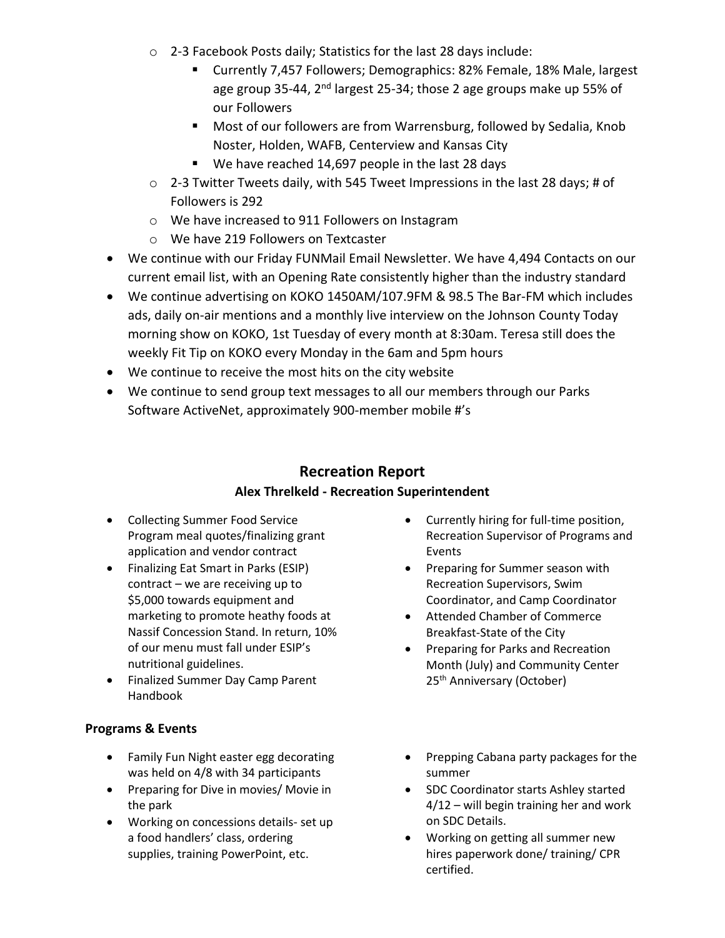- o 2-3 Facebook Posts daily; Statistics for the last 28 days include:
	- Currently 7,457 Followers; Demographics: 82% Female, 18% Male, largest age group 35-44, 2<sup>nd</sup> largest 25-34; those 2 age groups make up 55% of our Followers
	- Most of our followers are from Warrensburg, followed by Sedalia, Knob Noster, Holden, WAFB, Centerview and Kansas City
	- We have reached 14,697 people in the last 28 days
- o 2-3 Twitter Tweets daily, with 545 Tweet Impressions in the last 28 days; # of Followers is 292
- o We have increased to 911 Followers on Instagram
- o We have 219 Followers on Textcaster
- We continue with our Friday FUNMail Email Newsletter. We have 4,494 Contacts on our current email list, with an Opening Rate consistently higher than the industry standard
- We continue advertising on KOKO 1450AM/107.9FM & 98.5 The Bar-FM which includes ads, daily on-air mentions and a monthly live interview on the Johnson County Today morning show on KOKO, 1st Tuesday of every month at 8:30am. Teresa still does the weekly Fit Tip on KOKO every Monday in the 6am and 5pm hours
- We continue to receive the most hits on the city website
- We continue to send group text messages to all our members through our Parks Software ActiveNet, approximately 900-member mobile #'s

# **Recreation Report Alex Threlkeld - Recreation Superintendent**

- Collecting Summer Food Service Program meal quotes/finalizing grant application and vendor contract
- Finalizing Eat Smart in Parks (ESIP) contract – we are receiving up to \$5,000 towards equipment and marketing to promote heathy foods at Nassif Concession Stand. In return, 10% of our menu must fall under ESIP's nutritional guidelines.
- Finalized Summer Day Camp Parent Handbook

### **Programs & Events**

- Family Fun Night easter egg decorating was held on 4/8 with 34 participants
- Preparing for Dive in movies/ Movie in the park
- Working on concessions details- set up a food handlers' class, ordering supplies, training PowerPoint, etc.
- Currently hiring for full-time position, Recreation Supervisor of Programs and Events
- Preparing for Summer season with Recreation Supervisors, Swim Coordinator, and Camp Coordinator
- Attended Chamber of Commerce Breakfast-State of the City
- Preparing for Parks and Recreation Month (July) and Community Center 25<sup>th</sup> Anniversary (October)
- Prepping Cabana party packages for the summer
- SDC Coordinator starts Ashley started 4/12 – will begin training her and work on SDC Details.
- Working on getting all summer new hires paperwork done/ training/ CPR certified.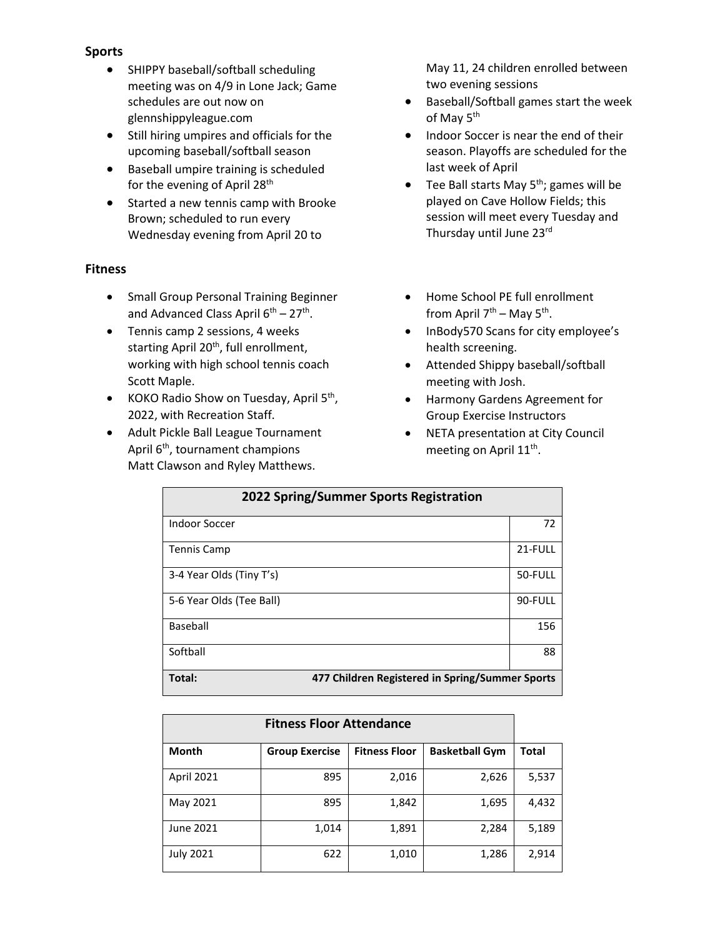#### **Sports**

- SHIPPY baseball/softball scheduling meeting was on 4/9 in Lone Jack; Game schedules are out now on glennshippyleague.com
- Still hiring umpires and officials for the upcoming baseball/softball season
- Baseball umpire training is scheduled for the evening of April 28<sup>th</sup>
- Started a new tennis camp with Brooke Brown; scheduled to run every Wednesday evening from April 20 to

#### **Fitness**

- Small Group Personal Training Beginner and Advanced Class April 6<sup>th</sup> – 27<sup>th</sup>.
- Tennis camp 2 sessions, 4 weeks starting April 20<sup>th</sup>, full enrollment, working with high school tennis coach Scott Maple.
- KOKO Radio Show on Tuesday, April 5<sup>th</sup>, 2022, with Recreation Staff.
- Adult Pickle Ball League Tournament April 6<sup>th</sup>, tournament champions Matt Clawson and Ryley Matthews.

May 11, 24 children enrolled between two evening sessions

- Baseball/Softball games start the week of May 5<sup>th</sup>
- Indoor Soccer is near the end of their season. Playoffs are scheduled for the last week of April
- Tee Ball starts May  $5<sup>th</sup>$ ; games will be played on Cave Hollow Fields; this session will meet every Tuesday and Thursday until June 23rd
- Home School PE full enrollment from April 7<sup>th</sup> – May 5<sup>th</sup>.
- InBody570 Scans for city employee's health screening.
- Attended Shippy baseball/softball meeting with Josh.
- Harmony Gardens Agreement for Group Exercise Instructors
- NETA presentation at City Council meeting on April 11<sup>th</sup>.

| 2022 Spring/Summer Sports Registration |                                                 |  |  |  |
|----------------------------------------|-------------------------------------------------|--|--|--|
| Indoor Soccer                          | 72                                              |  |  |  |
| Tennis Camp                            | 21-FULL                                         |  |  |  |
| 3-4 Year Olds (Tiny T's)               | 50-FULL                                         |  |  |  |
| 5-6 Year Olds (Tee Ball)               | 90-FULL                                         |  |  |  |
| Baseball                               | 156                                             |  |  |  |
| Softball                               | 88                                              |  |  |  |
| Total:                                 | 477 Children Registered in Spring/Summer Sports |  |  |  |

| <b>Fitness Floor Attendance</b> |                       |                      |                       |       |
|---------------------------------|-----------------------|----------------------|-----------------------|-------|
| <b>Month</b>                    | <b>Group Exercise</b> | <b>Fitness Floor</b> | <b>Basketball Gym</b> | Total |
| <b>April 2021</b>               | 895                   | 2,016                | 2,626                 | 5,537 |
| May 2021                        | 895                   | 1,842                | 1,695                 | 4,432 |
| June 2021                       | 1,014                 | 1,891                | 2,284                 | 5,189 |
| <b>July 2021</b>                | 622                   | 1,010                | 1,286                 | 2,914 |